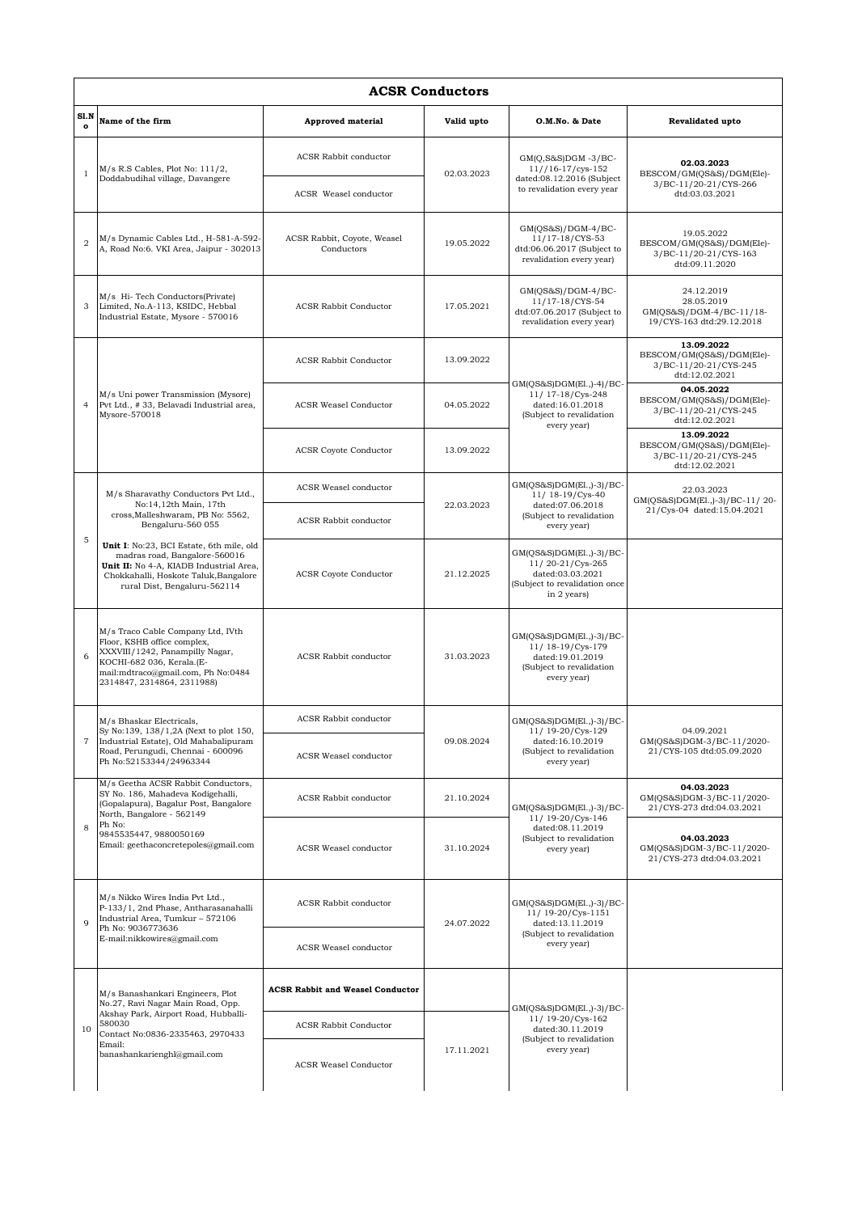| <b>ACSR Conductors</b> |                                                                                                                                                                                                                           |                                           |            |                                                                                                                  |                                                                                    |  |  |  |  |
|------------------------|---------------------------------------------------------------------------------------------------------------------------------------------------------------------------------------------------------------------------|-------------------------------------------|------------|------------------------------------------------------------------------------------------------------------------|------------------------------------------------------------------------------------|--|--|--|--|
| Sl.N<br>$\mathbf{o}$   | Name of the firm                                                                                                                                                                                                          | <b>Approved material</b>                  | Valid upto | O.M.No. & Date                                                                                                   | Revalidated upto                                                                   |  |  |  |  |
| $\mathbf{1}$           | $M/s$ R.S Cables, Plot No: $111/2$ ,<br>Doddabudihal village, Davangere                                                                                                                                                   | ACSR Rabbit conductor                     | 02.03.2023 | $GM(Q,S&S)DGM -3/BC-$<br>$11//16-17/cys-152$<br>dated:08.12.2016 (Subject                                        | 02.03.2023<br>BESCOM/GM(QS&S)/DGM(Ele)-<br>3/BC-11/20-21/CYS-266<br>dtd:03.03.2021 |  |  |  |  |
|                        |                                                                                                                                                                                                                           | <b>ACSR</b> Weasel conductor              |            | to revalidation every year                                                                                       |                                                                                    |  |  |  |  |
| $\overline{2}$         | M/s Dynamic Cables Ltd., H-581-A-592-<br>A, Road No:6. VKI Area, Jaipur - 302013                                                                                                                                          | ACSR Rabbit, Coyote, Weasel<br>Conductors | 19.05.2022 | $GM(QS&S)/DGM-4/BC-$<br>11/17-18/CYS-53<br>dtd:06.06.2017 (Subject to<br>revalidation every year)                | 19.05.2022<br>BESCOM/GM(QS&S)/DGM(Ele)-<br>3/BC-11/20-21/CYS-163<br>dtd:09.11.2020 |  |  |  |  |
| 3                      | M/s Hi-Tech Conductors(Private)<br>Limited, No.A-113, KSIDC, Hebbal<br>Industrial Estate, Mysore - 570016                                                                                                                 | <b>ACSR Rabbit Conductor</b>              | 17.05.2021 | $GM(QS&S)/DGM-4/BC-$<br>11/17-18/CYS-54<br>dtd:07.06.2017 (Subject to<br>revalidation every year)                | 24.12.2019<br>28.05.2019<br>GM(QS&S)/DGM-4/BC-11/18-<br>19/CYS-163 dtd:29.12.2018  |  |  |  |  |
| $\overline{4}$         | M/s Uni power Transmission (Mysore)<br>Pvt Ltd., #33, Belavadi Industrial area,<br>Mysore-570018                                                                                                                          | <b>ACSR Rabbit Conductor</b>              | 13.09.2022 | GM(QS&S)DGM(El.,)-4)/BC-<br>11/ 17-18/Cys-248<br>dated:16.01.2018<br>(Subject to revalidation                    | 13.09.2022<br>BESCOM/GM(QS&S)/DGM(Ele)-<br>3/BC-11/20-21/CYS-245<br>dtd:12.02.2021 |  |  |  |  |
|                        |                                                                                                                                                                                                                           | <b>ACSR Weasel Conductor</b>              | 04.05.2022 |                                                                                                                  | 04.05.2022<br>BESCOM/GM(QS&S)/DGM(Ele)-<br>3/BC-11/20-21/CYS-245<br>dtd:12.02.2021 |  |  |  |  |
|                        |                                                                                                                                                                                                                           | <b>ACSR Coyote Conductor</b>              | 13.09.2022 | every year)                                                                                                      | 13.09.2022<br>BESCOM/GM(QS&S)/DGM(Ele)-<br>3/BC-11/20-21/CYS-245<br>dtd:12.02.2021 |  |  |  |  |
|                        | M/s Sharavathy Conductors Pvt Ltd.,<br>No:14,12th Main, 17th<br>cross, Malleshwaram, PB No: 5562,<br>Bengaluru-560 055                                                                                                    | ACSR Weasel conductor                     |            | GM(QS&S)DGM(El.,)-3)/BC-<br>11/ 18-19/Cys-40                                                                     | 22.03.2023<br>GM(QS&S)DGM(El.,)-3)/BC-11/20-<br>21/Cys-04 dated:15.04.2021         |  |  |  |  |
| 5                      |                                                                                                                                                                                                                           | <b>ACSR Rabbit conductor</b>              | 22.03.2023 | dated:07.06.2018<br>(Subject to revalidation<br>every year)                                                      |                                                                                    |  |  |  |  |
|                        | Unit I: No:23, BCI Estate, 6th mile, old<br>madras road, Bangalore-560016<br>Unit II: No 4-A, KIADB Industrial Area,<br>Chokkahalli, Hoskote Taluk, Bangalore<br>rural Dist, Bengaluru-562114                             | <b>ACSR Coyote Conductor</b>              | 21.12.2025 | GM(QS&S)DGM(El.,)-3)/BC-<br>11/20-21/Cys-265<br>dated:03.03.2021<br>(Subject to revalidation once<br>in 2 years) |                                                                                    |  |  |  |  |
| 6                      | M/s Traco Cable Company Ltd, IVth<br>Floor, KSHB office complex,<br>XXXVIII/1242, Panampilly Nagar,<br>KOCHI-682 036, Kerala.(E-<br>mail:mdtraco@gmail.com, Ph No:0484<br>2314847, 2314864, 2311988)                      | <b>ACSR Rabbit conductor</b>              | 31.03.2023 | GM(QS&S)DGM(El.,)-3)/BC-<br>11/ 18-19/Cys-179<br>dated:19.01.2019<br>(Subject to revalidation<br>every year)     |                                                                                    |  |  |  |  |
|                        | M/s Bhaskar Electricals,<br>Sy No:139, 138/1,2A (Next to plot 150,<br>Industrial Estate), Old Mahabalipuram<br>Road, Perungudi, Chennai - 600096<br>Ph No:52153344/24963344                                               | <b>ACSR Rabbit conductor</b>              |            | GM(QS&S)DGM(El.,)-3)/BC-                                                                                         | 04.09.2021<br>GM(QS&S)DGM-3/BC-11/2020-<br>21/CYS-105 dtd:05.09.2020               |  |  |  |  |
| $\overline{7}$         |                                                                                                                                                                                                                           | ACSR Weasel conductor                     | 09.08.2024 | 11/ 19-20/Cys-129<br>dated:16.10.2019<br>(Subject to revalidation<br>every year)                                 |                                                                                    |  |  |  |  |
|                        | M/s Geetha ACSR Rabbit Conductors,<br>SY No. 186, Mahadeva Kodigehalli,<br>(Gopalapura), Bagalur Post, Bangalore<br>North, Bangalore - 562149<br>Ph No:<br>9845535447, 9880050169<br>Email: geethaconcretepoles@gmail.com | <b>ACSR Rabbit conductor</b>              | 21.10.2024 | $GM(QS&S)DGM(E1, 0-3)/BC-$<br>11/ 19-20/Cys-146                                                                  | 04.03.2023<br>GM(QS&S)DGM-3/BC-11/2020-<br>21/CYS-273 dtd:04.03.2021               |  |  |  |  |
| 8                      |                                                                                                                                                                                                                           | ACSR Weasel conductor                     | 31.10.2024 | dated:08.11.2019<br>(Subject to revalidation<br>every year)                                                      | 04.03.2023<br>GM(OS&S)DGM-3/BC-11/2020-<br>21/CYS-273 dtd:04.03.2021               |  |  |  |  |
| q                      | M/s Nikko Wires India Pvt Ltd.,<br>P-133/1, 2nd Phase, Antharasanahalli<br>Industrial Area, Tumkur - 572106<br>Ph No: 9036773636<br>E-mail:nikkowires@gmail.com                                                           | <b>ACSR Rabbit conductor</b>              | 24.07.2022 | $GM(QS&S)DGM(E1,1)-3)/BC$<br>11/ 19-20/Cys-1151<br>dated:13.11.2019<br>(Subject to revalidation<br>every year)   |                                                                                    |  |  |  |  |
|                        |                                                                                                                                                                                                                           | ACSR Weasel conductor                     |            |                                                                                                                  |                                                                                    |  |  |  |  |
|                        | M/s Banashankari Engineers, Plot<br>No.27, Ravi Nagar Main Road, Opp.<br>Akshay Park, Airport Road, Hubballi-<br>580030<br>Contact No:0836-2335463, 2970433<br>Email:<br>banashankarienghl@gmail.com                      | <b>ACSR Rabbit and Weasel Conductor</b>   |            | $GM(QS&S)DGM(E1, 0-3)/BC-$                                                                                       |                                                                                    |  |  |  |  |
| 10                     |                                                                                                                                                                                                                           | <b>ACSR Rabbit Conductor</b>              |            | 11/19-20/Cys-162<br>dated:30.11.2019<br>(Subject to revalidation                                                 |                                                                                    |  |  |  |  |
|                        |                                                                                                                                                                                                                           | <b>ACSR Weasel Conductor</b>              | 17.11.2021 | every year)                                                                                                      |                                                                                    |  |  |  |  |